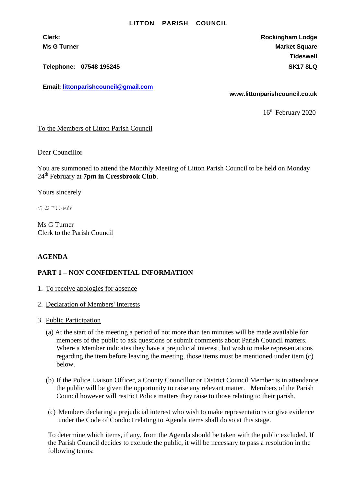## **LITTON PARISH COUNCIL**

**Clerk: Rockingham Lodge Ms G Turner Market Square** Market Square Market Square Market Square **Tideswell**

**Telephone: 07548 195245 SK17 8LQ**

**Email: [littonparishcouncil@gmail.com](mailto:littonparishcouncil@gmail.com)**

**www.littonparishcouncil.co.uk**

16<sup>th</sup> February 2020

To the Members of Litton Parish Council

Dear Councillor

You are summoned to attend the Monthly Meeting of Litton Parish Council to be held on Monday 24th February at **7pm in Cressbrook Club**.

Yours sincerely

G S TUrner

Ms G Turner Clerk to the Parish Council

## **AGENDA**

## **PART 1 – NON CONFIDENTIAL INFORMATION**

- 1. To receive apologies for absence
- 2. Declaration of Members' Interests
- 3. Public Participation
	- (a) At the start of the meeting a period of not more than ten minutes will be made available for members of the public to ask questions or submit comments about Parish Council matters. Where a Member indicates they have a prejudicial interest, but wish to make representations regarding the item before leaving the meeting, those items must be mentioned under item (c) below.
	- (b) If the Police Liaison Officer, a County Councillor or District Council Member is in attendance the public will be given the opportunity to raise any relevant matter. Members of the Parish Council however will restrict Police matters they raise to those relating to their parish.
	- (c) Members declaring a prejudicial interest who wish to make representations or give evidence under the Code of Conduct relating to Agenda items shall do so at this stage.

To determine which items, if any, from the Agenda should be taken with the public excluded. If the Parish Council decides to exclude the public, it will be necessary to pass a resolution in the following terms: